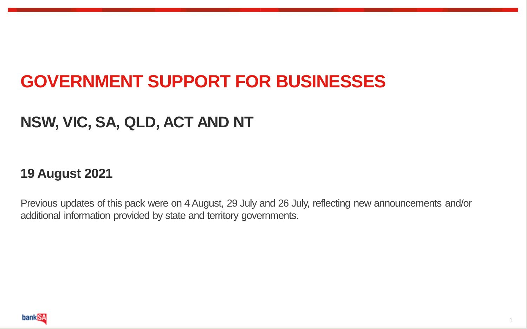# **GOVERNMENT SUPPORT FOR BUSINESSES**

#### **NSW, VIC, SA, QLD, ACT AND NT**

#### **19 August 2021**

Previous updates of this pack were on 4 August, 29 July and 26 July, reflecting new announcements and/or additional information provided by state and territory governments.

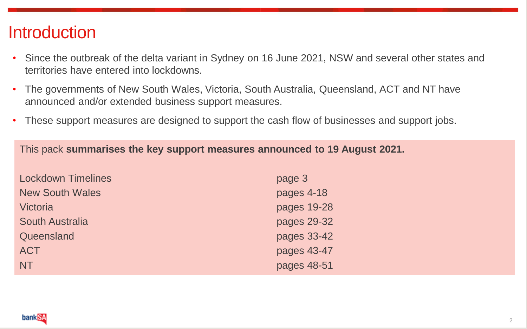#### **Introduction**

- Since the outbreak of the delta variant in Sydney on 16 June 2021, NSW and several other states and territories have entered into lockdowns.
- The governments of New South Wales, Victoria, South Australia, Queensland, ACT and NT have announced and/or extended business support measures.
- These support measures are designed to support the cash flow of businesses and support jobs.

This pack **summarises the key support measures announced to 19 August 2021.** 

| <b>Lockdown Timelines</b> | page 3      |
|---------------------------|-------------|
| <b>New South Wales</b>    | pages 4-18  |
| Victoria                  | pages 19-28 |
| <b>South Australia</b>    | pages 29-32 |
| Queensland                | pages 33-42 |
| <b>ACT</b>                | pages 43-47 |
| <b>NT</b>                 | pages 48-51 |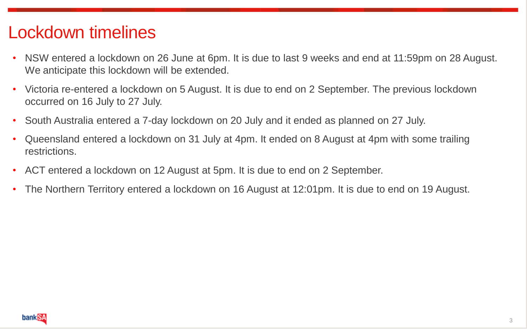### Lockdown timelines

- NSW entered a lockdown on 26 June at 6pm. It is due to last 9 weeks and end at 11:59pm on 28 August. We anticipate this lockdown will be extended.
- Victoria re-entered a lockdown on 5 August. It is due to end on 2 September. The previous lockdown occurred on 16 July to 27 July.
- South Australia entered a 7-day lockdown on 20 July and it ended as planned on 27 July.
- Queensland entered a lockdown on 31 July at 4pm. It ended on 8 August at 4pm with some trailing restrictions.
- ACT entered a lockdown on 12 August at 5pm. It is due to end on 2 September.
- The Northern Territory entered a lockdown on 16 August at 12:01pm. It is due to end on 19 August.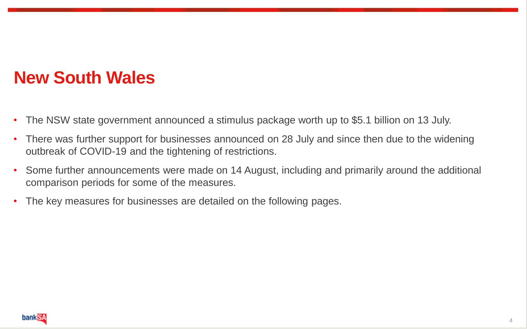### **New South Wales**

- The NSW state government announced a stimulus package worth up to \$5.1 billion on 13 July.
- There was further support for businesses announced on 28 July and since then due to the widening outbreak of COVID-19 and the tightening of restrictions.
- Some further announcements were made on 14 August, including and primarily around the additional comparison periods for some of the measures.
- The key measures for businesses are detailed on the following pages.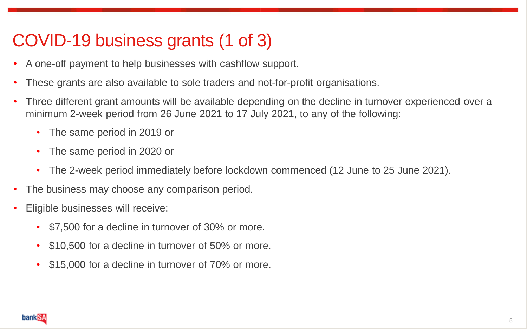# COVID-19 business grants (1 of 3)

- A one-off payment to help businesses with cashflow support.
- These grants are also available to sole traders and not-for-profit organisations.
- Three different grant amounts will be available depending on the decline in turnover experienced over a minimum 2-week period from 26 June 2021 to 17 July 2021, to any of the following:
	- The same period in 2019 or
	- The same period in 2020 or
	- The 2-week period immediately before lockdown commenced (12 June to 25 June 2021).
- The business may choose any comparison period.
- Eligible businesses will receive:
	- \$7,500 for a decline in turnover of 30% or more.
	- \$10,500 for a decline in turnover of 50% or more.
	- \$15,000 for a decline in turnover of 70% or more.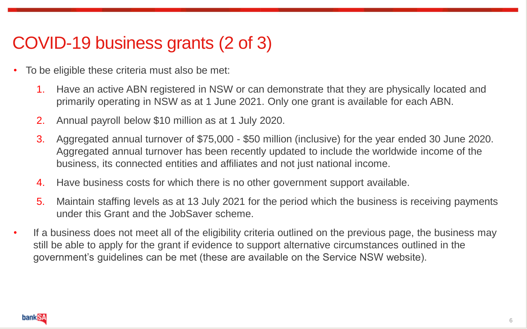### COVID-19 business grants (2 of 3)

- To be eligible these criteria must also be met:
	- 1. Have an active ABN registered in NSW or can demonstrate that they are physically located and primarily operating in NSW as at 1 June 2021. Only one grant is available for each ABN.
	- 2. Annual payroll below \$10 million as at 1 July 2020.
	- 3. Aggregated annual turnover of \$75,000 \$50 million (inclusive) for the year ended 30 June 2020. Aggregated annual turnover has been recently updated to include the worldwide income of the business, its connected entities and affiliates and not just national income.
	- 4. Have business costs for which there is no other government support available.
	- 5. Maintain staffing levels as at 13 July 2021 for the period which the business is receiving payments under this Grant and the JobSaver scheme.
- If a business does not meet all of the eligibility criteria outlined on the previous page, the business may still be able to apply for the grant if evidence to support alternative circumstances outlined in the government's guidelines can be met (these are available on the Service NSW website).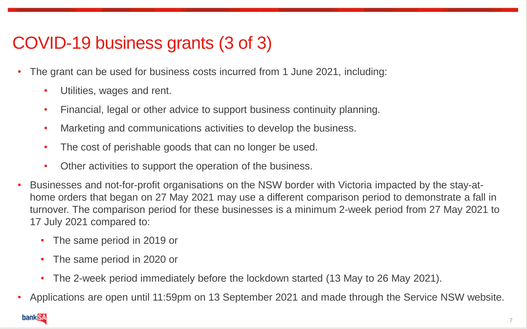# COVID-19 business grants (3 of 3)

- The grant can be used for business costs incurred from 1 June 2021, including:
	- Utilities, wages and rent.
	- Financial, legal or other advice to support business continuity planning.
	- Marketing and communications activities to develop the business.
	- The cost of perishable goods that can no longer be used.
	- Other activities to support the operation of the business.
- Businesses and not-for-profit organisations on the NSW border with Victoria impacted by the stay-athome orders that began on 27 May 2021 may use a different comparison period to demonstrate a fall in turnover. The comparison period for these businesses is a minimum 2-week period from 27 May 2021 to 17 July 2021 compared to:
	- The same period in 2019 or
	- The same period in 2020 or
	- The 2-week period immediately before the lockdown started (13 May to 26 May 2021).
- Applications are open until 11:59pm on 13 September 2021 and made through the Service NSW website.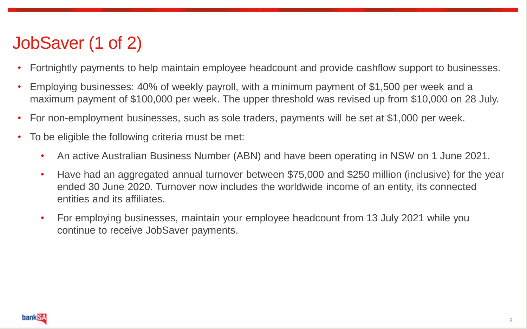# JobSaver (1 of 2)

- Fortnightly payments to help maintain employee headcount and provide cashflow support to businesses.
- Employing businesses: 40% of weekly payroll, with a minimum payment of \$1,500 per week and a maximum payment of \$100,000 per week. The upper threshold was revised up from \$10,000 on 28 July.
- For non-employment businesses, such as sole traders, payments will be set at \$1,000 per week.
- To be eligible the following criteria must be met:
	- An active Australian Business Number (ABN) and have been operating in NSW on 1 June 2021.
	- Have had an aggregated annual turnover between \$75,000 and \$250 million (inclusive) for the year ended 30 June 2020. Turnover now includes the worldwide income of an entity, its connected entities and its affiliates.
	- For employing businesses, maintain your employee headcount from 13 July 2021 while you continue to receive JobSaver payments.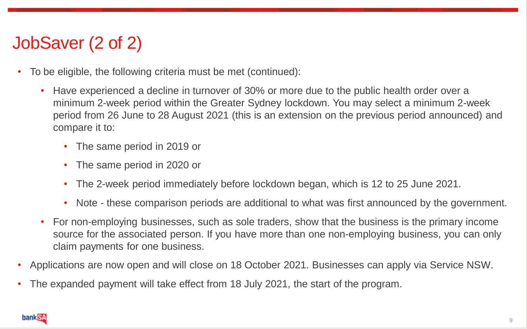# JobSaver (2 of 2)

- To be eligible, the following criteria must be met (continued):
	- Have experienced a decline in turnover of 30% or more due to the public health order over a minimum 2-week period within the Greater Sydney lockdown. You may select a minimum 2-week period from 26 June to 28 August 2021 (this is an extension on the previous period announced) and compare it to:
		- The same period in 2019 or
		- The same period in 2020 or
		- The 2-week period immediately before lockdown began, which is 12 to 25 June 2021.
		- Note these comparison periods are additional to what was first announced by the government.
	- For non-employing businesses, such as sole traders, show that the business is the primary income source for the associated person. If you have more than one non-employing business, you can only claim payments for one business.
- Applications are now open and will close on 18 October 2021. Businesses can apply via Service NSW.
- The expanded payment will take effect from 18 July 2021, the start of the program.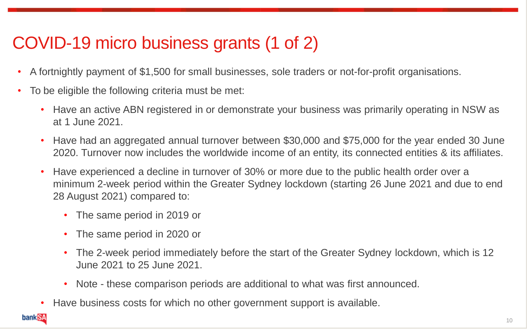# COVID-19 micro business grants (1 of 2)

- A fortnightly payment of \$1,500 for small businesses, sole traders or not-for-profit organisations.
- To be eligible the following criteria must be met:
	- Have an active ABN registered in or demonstrate your business was primarily operating in NSW as at 1 June 2021.
	- Have had an aggregated annual turnover between \$30,000 and \$75,000 for the year ended 30 June 2020. Turnover now includes the worldwide income of an entity, its connected entities & its affiliates.
	- Have experienced a decline in turnover of 30% or more due to the public health order over a minimum 2-week period within the Greater Sydney lockdown (starting 26 June 2021 and due to end 28 August 2021) compared to:
		- The same period in 2019 or
		- The same period in 2020 or
		- The 2-week period immediately before the start of the Greater Sydney lockdown, which is 12 June 2021 to 25 June 2021.
		- Note these comparison periods are additional to what was first announced.
		- Have business costs for which no other government support is available.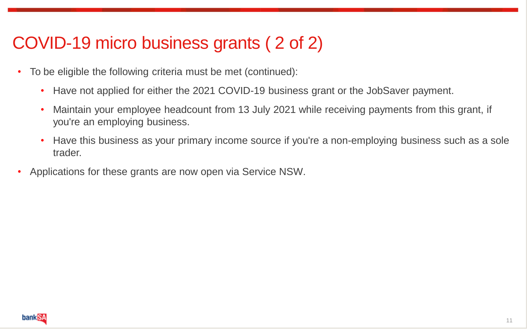## COVID-19 micro business grants ( 2 of 2)

- To be eligible the following criteria must be met (continued):
	- Have not applied for either the 2021 COVID-19 business grant or the JobSaver payment.
	- Maintain your employee headcount from 13 July 2021 while receiving payments from this grant, if you're an employing business.
	- Have this business as your primary income source if you're a non-employing business such as a sole trader.
- Applications for these grants are now open via Service NSW.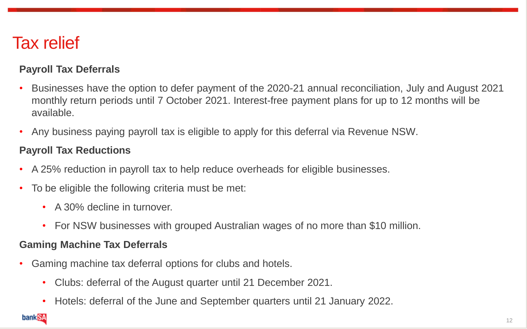#### Tax relief

#### **Payroll Tax Deferrals**

- Businesses have the option to defer payment of the 2020-21 annual reconciliation, July and August 2021 monthly return periods until 7 October 2021. Interest-free payment plans for up to 12 months will be available.
- Any business paying payroll tax is eligible to apply for this deferral via Revenue NSW.

#### **Payroll Tax Reductions**

- A 25% reduction in payroll tax to help reduce overheads for eligible businesses.
- To be eligible the following criteria must be met:
	- A 30% decline in turnover.
	- For NSW businesses with grouped Australian wages of no more than \$10 million.

#### **Gaming Machine Tax Deferrals**

- Gaming machine tax deferral options for clubs and hotels.
	- Clubs: deferral of the August quarter until 21 December 2021.
	- Hotels: deferral of the June and September quarters until 21 January 2022.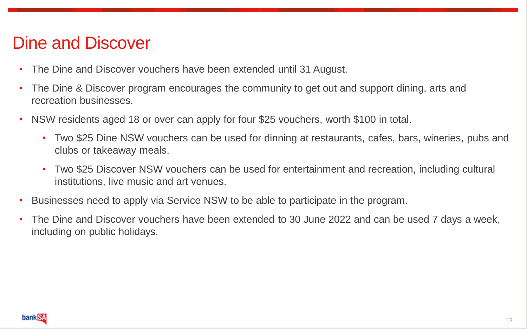#### Dine and Discover

- The Dine and Discover vouchers have been extended until 31 August.
- The Dine & Discover program encourages the community to get out and support dining, arts and recreation businesses.
- NSW residents aged 18 or over can apply for four \$25 vouchers, worth \$100 in total.
	- Two \$25 Dine NSW vouchers can be used for dinning at restaurants, cafes, bars, wineries, pubs and clubs or takeaway meals.
	- Two \$25 Discover NSW vouchers can be used for entertainment and recreation, including cultural institutions, live music and art venues.
- Businesses need to apply via Service NSW to be able to participate in the program.
- The Dine and Discover vouchers have been extended to 30 June 2022 and can be used 7 days a week, including on public holidays.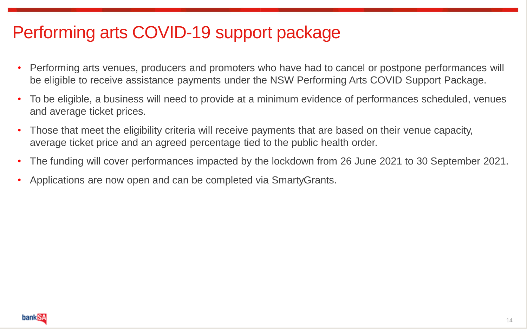# Performing arts COVID-19 support package

- Performing arts venues, producers and promoters who have had to cancel or postpone performances will be eligible to receive assistance payments under the NSW Performing Arts COVID Support Package.
- To be eligible, a business will need to provide at a minimum evidence of performances scheduled, venues and average ticket prices.
- Those that meet the eligibility criteria will receive payments that are based on their venue capacity, average ticket price and an agreed percentage tied to the public health order.
- The funding will cover performances impacted by the lockdown from 26 June 2021 to 30 September 2021.
- Applications are now open and can be completed via SmartyGrants.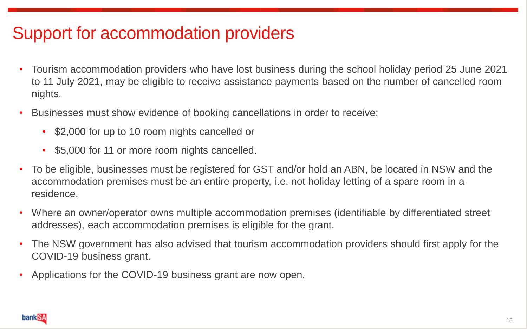# Support for accommodation providers

- Tourism accommodation providers who have lost business during the school holiday period 25 June 2021 to 11 July 2021, may be eligible to receive assistance payments based on the number of cancelled room nights.
- Businesses must show evidence of booking cancellations in order to receive:
	- \$2,000 for up to 10 room nights cancelled or
	- \$5,000 for 11 or more room nights cancelled.
- To be eligible, businesses must be registered for GST and/or hold an ABN, be located in NSW and the accommodation premises must be an entire property, i.e. not holiday letting of a spare room in a residence.
- Where an owner/operator owns multiple accommodation premises (identifiable by differentiated street addresses), each accommodation premises is eligible for the grant.
- The NSW government has also advised that tourism accommodation providers should first apply for the COVID-19 business grant.
- Applications for the COVID-19 business grant are now open.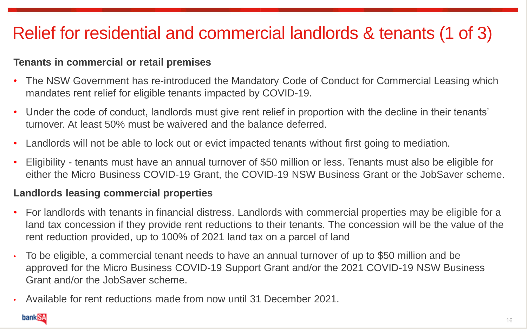# Relief for residential and commercial landlords & tenants (1 of 3)

#### **Tenants in commercial or retail premises**

- The NSW Government has re-introduced the Mandatory Code of Conduct for Commercial Leasing which mandates rent relief for eligible tenants impacted by COVID-19.
- Under the code of conduct, landlords must give rent relief in proportion with the decline in their tenants' turnover. At least 50% must be waivered and the balance deferred.
- Landlords will not be able to lock out or evict impacted tenants without first going to mediation.
- Eligibility tenants must have an annual turnover of \$50 million or less. Tenants must also be eligible for either the Micro Business COVID-19 Grant, the COVID-19 NSW Business Grant or the JobSaver scheme.

#### **Landlords leasing commercial properties**

- For landlords with tenants in financial distress. Landlords with commercial properties may be eligible for a land tax concession if they provide rent reductions to their tenants. The concession will be the value of the rent reduction provided, up to 100% of 2021 land tax on a parcel of land
- To be eligible, a commercial tenant needs to have an annual turnover of up to \$50 million and be approved for the Micro Business COVID-19 Support Grant and/or the 2021 COVID-19 NSW Business Grant and/or the JobSaver scheme.
- Available for rent reductions made from now until 31 December 2021.

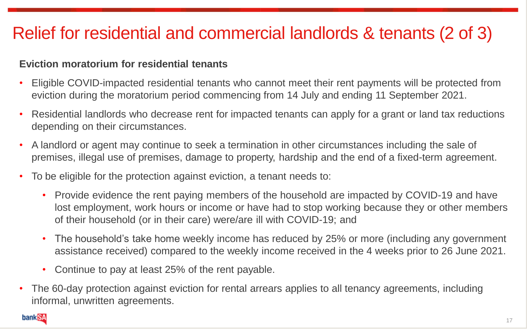# Relief for residential and commercial landlords & tenants (2 of 3)

#### **Eviction moratorium for residential tenants**

- Eligible COVID-impacted residential tenants who cannot meet their rent payments will be protected from eviction during the moratorium period commencing from 14 July and ending 11 September 2021.
- Residential landlords who decrease rent for impacted tenants can apply for a grant or land tax reductions depending on their circumstances.
- A landlord or agent may continue to seek a termination in other circumstances including the sale of premises, illegal use of premises, damage to property, hardship and the end of a fixed-term agreement.
- To be eligible for the protection against eviction, a tenant needs to:
	- Provide evidence the rent paying members of the household are impacted by COVID-19 and have lost employment, work hours or income or have had to stop working because they or other members of their household (or in their care) were/are ill with COVID-19; and
	- The household's take home weekly income has reduced by 25% or more (including any government assistance received) compared to the weekly income received in the 4 weeks prior to 26 June 2021.
	- Continue to pay at least 25% of the rent payable.
- The 60-day protection against eviction for rental arrears applies to all tenancy agreements, including informal, unwritten agreements.

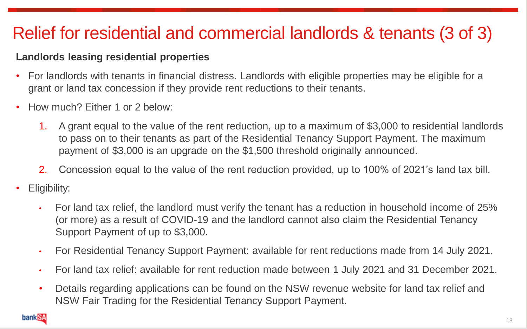# Relief for residential and commercial landlords & tenants (3 of 3)

#### **Landlords leasing residential properties**

- For landlords with tenants in financial distress. Landlords with eligible properties may be eligible for a grant or land tax concession if they provide rent reductions to their tenants.
- How much? Either 1 or 2 below:
	- 1. A grant equal to the value of the rent reduction, up to a maximum of \$3,000 to residential landlords to pass on to their tenants as part of the Residential Tenancy Support Payment. The maximum payment of \$3,000 is an upgrade on the \$1,500 threshold originally announced.
	- 2. Concession equal to the value of the rent reduction provided, up to 100% of 2021's land tax bill.
- Eligibility:
	- For land tax relief, the landlord must verify the tenant has a reduction in household income of 25% (or more) as a result of COVID-19 and the landlord cannot also claim the Residential Tenancy Support Payment of up to \$3,000.
	- For Residential Tenancy Support Payment: available for rent reductions made from 14 July 2021.
	- For land tax relief: available for rent reduction made between 1 July 2021 and 31 December 2021.
	- Details regarding applications can be found on the NSW revenue website for land tax relief and NSW Fair Trading for the Residential Tenancy Support Payment.

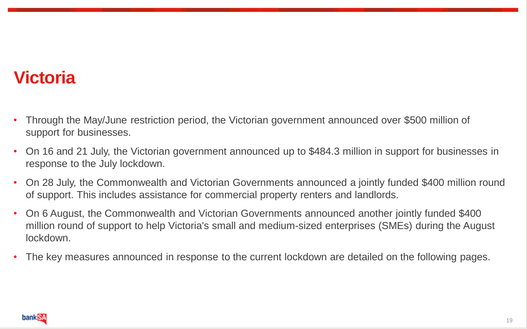# **Victoria**

- Through the May/June restriction period, the Victorian government announced over \$500 million of support for businesses.
- On 16 and 21 July, the Victorian government announced up to \$484.3 million in support for businesses in response to the July lockdown.
- On 28 July, the Commonwealth and Victorian Governments announced a jointly funded \$400 million round of support. This includes assistance for commercial property renters and landlords.
- On 6 August, the Commonwealth and Victorian Governments announced another jointly funded \$400 million round of support to help Victoria's small and medium-sized enterprises (SMEs) during the August lockdown.
- The key measures announced in response to the current lockdown are detailed on the following pages.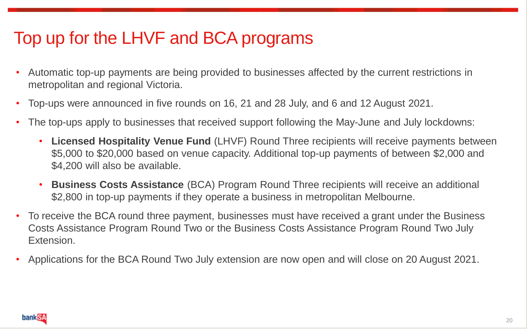# Top up for the LHVF and BCA programs

- Automatic top-up payments are being provided to businesses affected by the current restrictions in metropolitan and regional Victoria.
- Top-ups were announced in five rounds on 16, 21 and 28 July, and 6 and 12 August 2021.
- The top-ups apply to businesses that received support following the May-June and July lockdowns:
	- **Licensed Hospitality Venue Fund** (LHVF) Round Three recipients will receive payments between \$5,000 to \$20,000 based on venue capacity. Additional top-up payments of between \$2,000 and \$4,200 will also be available.
	- **Business Costs Assistance** (BCA) Program Round Three recipients will receive an additional \$2,800 in top-up payments if they operate a business in metropolitan Melbourne.
- To receive the BCA round three payment, businesses must have received a grant under the Business Costs Assistance Program Round Two or the Business Costs Assistance Program Round Two July Extension.
- Applications for the BCA Round Two July extension are now open and will close on 20 August 2021.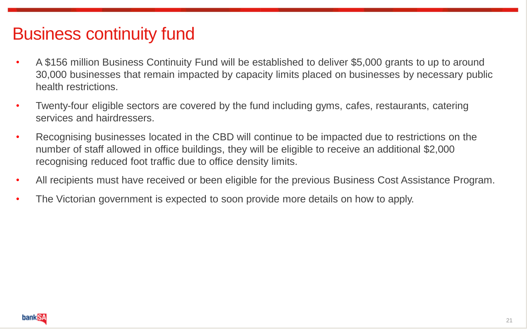### Business continuity fund

- A \$156 million Business Continuity Fund will be established to deliver \$5,000 grants to up to around 30,000 businesses that remain impacted by capacity limits placed on businesses by necessary public health restrictions.
- Twenty-four eligible sectors are covered by the fund including gyms, cafes, restaurants, catering services and hairdressers.
- Recognising businesses located in the CBD will continue to be impacted due to restrictions on the number of staff allowed in office buildings, they will be eligible to receive an additional \$2,000 recognising reduced foot traffic due to office density limits.
- All recipients must have received or been eligible for the previous Business Cost Assistance Program.
- The Victorian government is expected to soon provide more details on how to apply.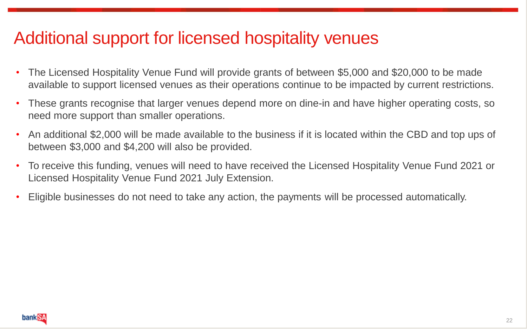### Additional support for licensed hospitality venues

- The Licensed Hospitality Venue Fund will provide grants of between \$5,000 and \$20,000 to be made available to support licensed venues as their operations continue to be impacted by current restrictions.
- These grants recognise that larger venues depend more on dine-in and have higher operating costs, so need more support than smaller operations.
- An additional \$2,000 will be made available to the business if it is located within the CBD and top ups of between \$3,000 and \$4,200 will also be provided.
- To receive this funding, venues will need to have received the Licensed Hospitality Venue Fund 2021 or Licensed Hospitality Venue Fund 2021 July Extension.
- Eligible businesses do not need to take any action, the payments will be processed automatically.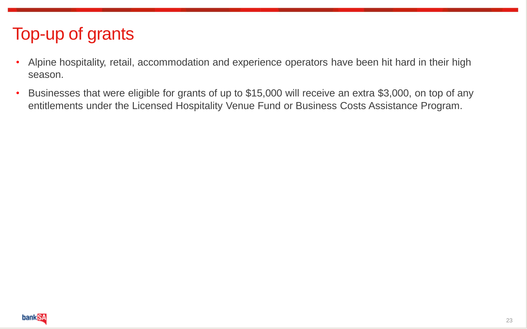# Top-up of grants

- Alpine hospitality, retail, accommodation and experience operators have been hit hard in their high season.
- Businesses that were eligible for grants of up to \$15,000 will receive an extra \$3,000, on top of any entitlements under the Licensed Hospitality Venue Fund or Business Costs Assistance Program.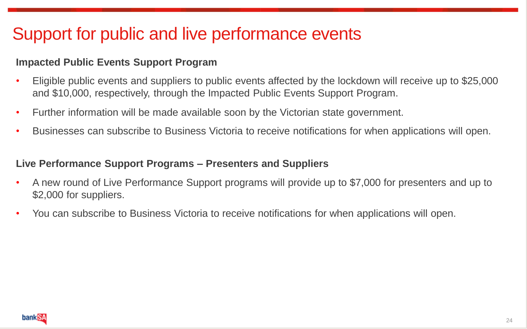# Support for public and live performance events

#### **Impacted Public Events Support Program**

- Eligible public events and suppliers to public events affected by the lockdown will receive up to \$25,000 and \$10,000, respectively, through the Impacted Public Events Support Program.
- Further information will be made available soon by the Victorian state government.
- Businesses can subscribe to Business Victoria to receive notifications for when applications will open.

#### **Live Performance Support Programs – Presenters and Suppliers**

- A new round of Live Performance Support programs will provide up to \$7,000 for presenters and up to \$2,000 for suppliers.
- You can subscribe to Business Victoria to receive notifications for when applications will open.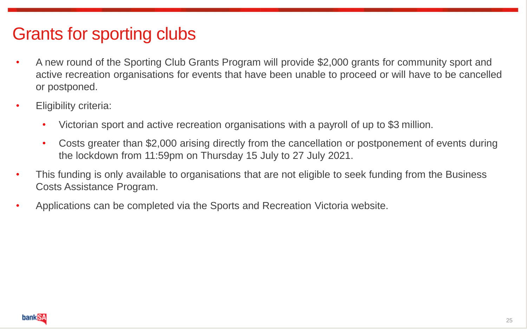# Grants for sporting clubs

- A new round of the Sporting Club Grants Program will provide \$2,000 grants for community sport and active recreation organisations for events that have been unable to proceed or will have to be cancelled or postponed.
- Eligibility criteria:
	- Victorian sport and active recreation organisations with a payroll of up to \$3 million.
	- Costs greater than \$2,000 arising directly from the cancellation or postponement of events during the lockdown from 11:59pm on Thursday 15 July to 27 July 2021.
- This funding is only available to organisations that are not eligible to seek funding from the Business Costs Assistance Program.
- Applications can be completed via the Sports and Recreation Victoria website.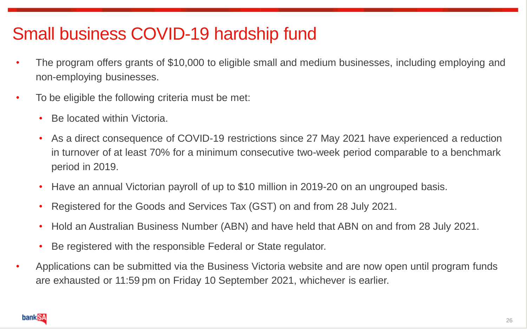# Small business COVID-19 hardship fund

- The program offers grants of \$10,000 to eligible small and medium businesses, including employing and non-employing businesses.
- To be eligible the following criteria must be met:
	- Be located within Victoria.
	- As a direct consequence of COVID-19 restrictions since 27 May 2021 have experienced a reduction in turnover of at least 70% for a minimum consecutive two-week period comparable to a benchmark period in 2019.
	- Have an annual Victorian payroll of up to \$10 million in 2019-20 on an ungrouped basis.
	- Registered for the Goods and Services Tax (GST) on and from 28 July 2021.
	- Hold an Australian Business Number (ABN) and have held that ABN on and from 28 July 2021.
	- Be registered with the responsible Federal or State regulator.
- Applications can be submitted via the Business Victoria website and are now open until program funds are exhausted or 11:59 pm on Friday 10 September 2021, whichever is earlier.

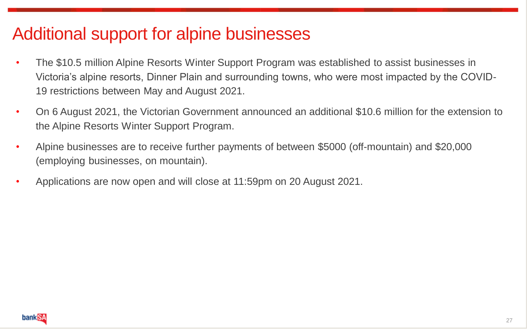### Additional support for alpine businesses

- The \$10.5 million Alpine Resorts Winter Support Program was established to assist businesses in Victoria's alpine resorts, Dinner Plain and surrounding towns, who were most impacted by the COVID-19 restrictions between May and August 2021.
- On 6 August 2021, the Victorian Government announced an additional \$10.6 million for the extension to the Alpine Resorts Winter Support Program.
- Alpine businesses are to receive further payments of between \$5000 (off-mountain) and \$20,000 (employing businesses, on mountain).
- Applications are now open and will close at 11:59pm on 20 August 2021.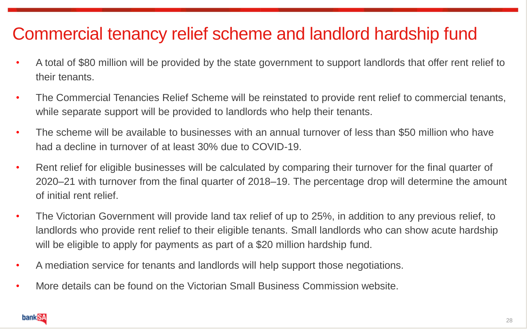### Commercial tenancy relief scheme and landlord hardship fund

- A total of \$80 million will be provided by the state government to support landlords that offer rent relief to their tenants.
- The Commercial Tenancies Relief Scheme will be reinstated to provide rent relief to commercial tenants, while separate support will be provided to landlords who help their tenants.
- The scheme will be available to businesses with an annual turnover of less than \$50 million who have had a decline in turnover of at least 30% due to COVID-19.
- Rent relief for eligible businesses will be calculated by comparing their turnover for the final quarter of 2020–21 with turnover from the final quarter of 2018–19. The percentage drop will determine the amount of initial rent relief.
- The Victorian Government will provide land tax relief of up to 25%, in addition to any previous relief, to landlords who provide rent relief to their eligible tenants. Small landlords who can show acute hardship will be eligible to apply for payments as part of a \$20 million hardship fund.
- A mediation service for tenants and landlords will help support those negotiations.
- More details can be found on the Victorian Small Business Commission website.

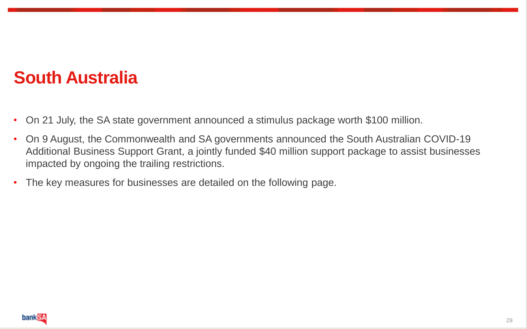#### **South Australia**

- On 21 July, the SA state government announced a stimulus package worth \$100 million.
- On 9 August, the Commonwealth and SA governments announced the South Australian COVID-19 Additional Business Support Grant, a jointly funded \$40 million support package to assist businesses impacted by ongoing the trailing restrictions.
- The key measures for businesses are detailed on the following page.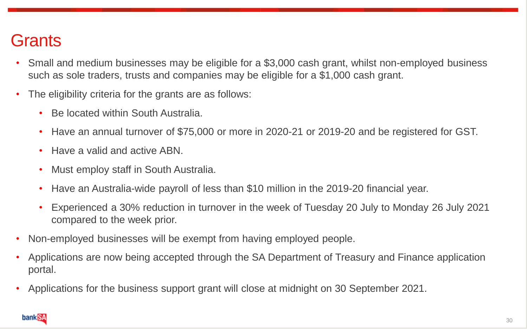### **Grants**

- Small and medium businesses may be eligible for a \$3,000 cash grant, whilst non-employed business such as sole traders, trusts and companies may be eligible for a \$1,000 cash grant.
- The eligibility criteria for the grants are as follows:
	- Be located within South Australia.
	- Have an annual turnover of \$75,000 or more in 2020-21 or 2019-20 and be registered for GST.
	- Have a valid and active ABN.
	- Must employ staff in South Australia.
	- Have an Australia-wide payroll of less than \$10 million in the 2019-20 financial year.
	- Experienced a 30% reduction in turnover in the week of Tuesday 20 July to Monday 26 July 2021 compared to the week prior.
- Non-employed businesses will be exempt from having employed people.
- Applications are now being accepted through the SA Department of Treasury and Finance application portal.
- Applications for the business support grant will close at midnight on 30 September 2021.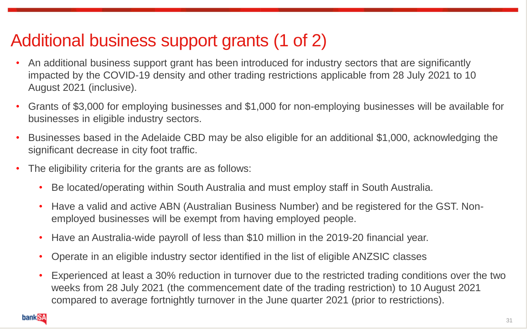# Additional business support grants (1 of 2)

- An additional business support grant has been introduced for industry sectors that are significantly impacted by the COVID-19 density and other trading restrictions applicable from 28 July 2021 to 10 August 2021 (inclusive).
- Grants of \$3,000 for employing businesses and \$1,000 for non-employing businesses will be available for businesses in eligible industry sectors.
- Businesses based in the Adelaide CBD may be also eligible for an additional \$1,000, acknowledging the significant decrease in city foot traffic.
- The eligibility criteria for the grants are as follows:
	- Be located/operating within South Australia and must employ staff in South Australia.
	- Have a valid and active ABN (Australian Business Number) and be registered for the GST. Nonemployed businesses will be exempt from having employed people.
	- Have an Australia-wide payroll of less than \$10 million in the 2019-20 financial year.
	- Operate in an eligible industry sector identified in the list of eligible ANZSIC classes
	- Experienced at least a 30% reduction in turnover due to the restricted trading conditions over the two weeks from 28 July 2021 (the commencement date of the trading restriction) to 10 August 2021 compared to average fortnightly turnover in the June quarter 2021 (prior to restrictions).

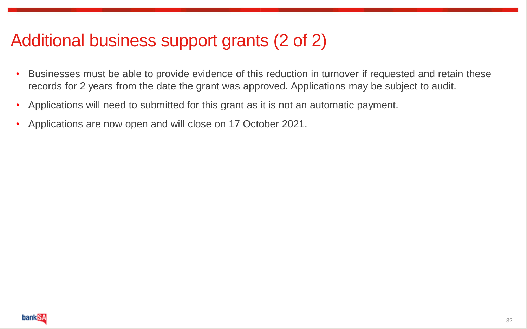### Additional business support grants (2 of 2)

- Businesses must be able to provide evidence of this reduction in turnover if requested and retain these records for 2 years from the date the grant was approved. Applications may be subject to audit.
- Applications will need to submitted for this grant as it is not an automatic payment.
- Applications are now open and will close on 17 October 2021.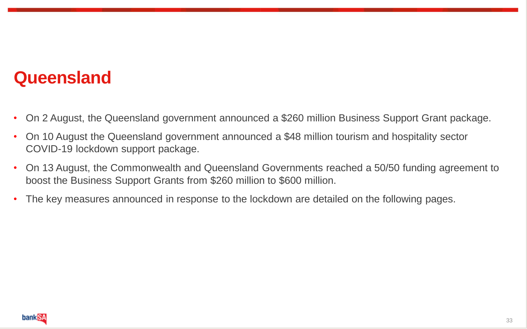#### **Queensland**

- On 2 August, the Queensland government announced a \$260 million Business Support Grant package.
- On 10 August the Queensland government announced a \$48 million tourism and hospitality sector COVID-19 lockdown support package.
- On 13 August, the Commonwealth and Queensland Governments reached a 50/50 funding agreement to boost the Business Support Grants from \$260 million to \$600 million.
- The key measures announced in response to the lockdown are detailed on the following pages.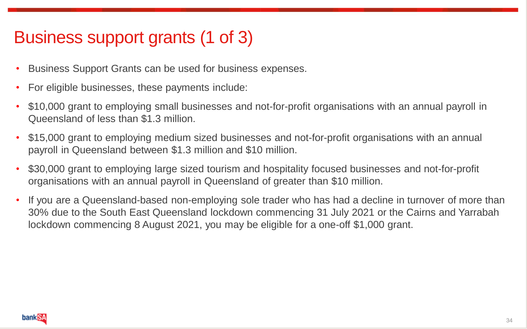# Business support grants (1 of 3)

- Business Support Grants can be used for business expenses.
- For eligible businesses, these payments include:
- \$10,000 grant to employing small businesses and not-for-profit organisations with an annual payroll in Queensland of less than \$1.3 million.
- \$15,000 grant to employing medium sized businesses and not-for-profit organisations with an annual payroll in Queensland between \$1.3 million and \$10 million.
- \$30,000 grant to employing large sized tourism and hospitality focused businesses and not-for-profit organisations with an annual payroll in Queensland of greater than \$10 million.
- If you are a Queensland-based non-employing sole trader who has had a decline in turnover of more than 30% due to the South East Queensland lockdown commencing 31 July 2021 or the Cairns and Yarrabah lockdown commencing 8 August 2021, you may be eligible for a one-off \$1,000 grant.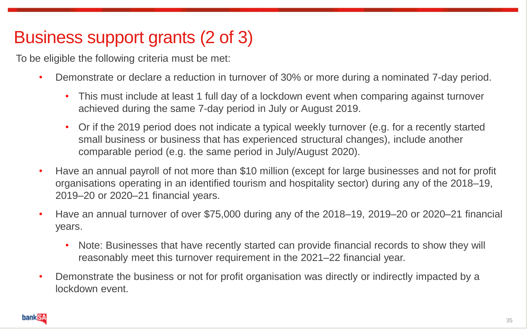# Business support grants (2 of 3)

To be eligible the following criteria must be met:

- Demonstrate or declare a reduction in turnover of 30% or more during a nominated 7-day period.
	- This must include at least 1 full day of a lockdown event when comparing against turnover achieved during the same 7-day period in July or August 2019.
	- Or if the 2019 period does not indicate a typical weekly turnover (e.g. for a recently started small business or business that has experienced structural changes), include another comparable period (e.g. the same period in July/August 2020).
- Have an annual payroll of not more than \$10 million (except for large businesses and not for profit organisations operating in an identified tourism and hospitality sector) during any of the 2018–19, 2019–20 or 2020–21 financial years.
- Have an annual turnover of over \$75,000 during any of the 2018–19, 2019–20 or 2020–21 financial years.
	- Note: Businesses that have recently started can provide financial records to show they will reasonably meet this turnover requirement in the 2021–22 financial year.
- Demonstrate the business or not for profit organisation was directly or indirectly impacted by a lockdown event.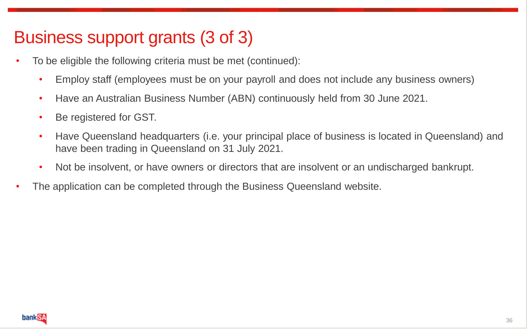# Business support grants (3 of 3)

- To be eligible the following criteria must be met (continued):
	- Employ staff (employees must be on your payroll and does not include any business owners)
	- Have an Australian Business Number (ABN) continuously held from 30 June 2021.
	- Be registered for GST.
	- Have Queensland headquarters (i.e. your principal place of business is located in Queensland) and have been trading in Queensland on 31 July 2021.
	- Not be insolvent, or have owners or directors that are insolvent or an undischarged bankrupt.
- The application can be completed through the Business Queensland website.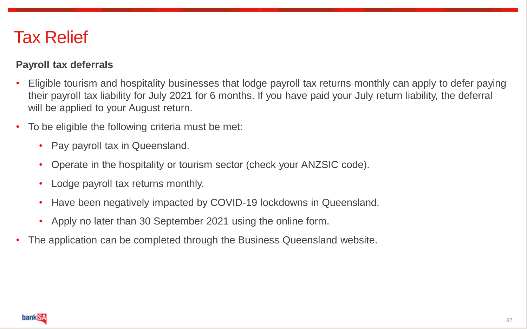#### Tax Relief

#### **Payroll tax deferrals**

- Eligible tourism and hospitality businesses that lodge payroll tax returns monthly can apply to defer paying their payroll tax liability for July 2021 for 6 months. If you have paid your July return liability, the deferral will be applied to your August return.
- To be eligible the following criteria must be met:
	- Pay payroll tax in Queensland.
	- Operate in the hospitality or tourism sector (check your ANZSIC code).
	- Lodge payroll tax returns monthly.
	- Have been negatively impacted by COVID-19 lockdowns in Queensland.
	- Apply no later than 30 September 2021 using the online form.
- The application can be completed through the Business Queensland website.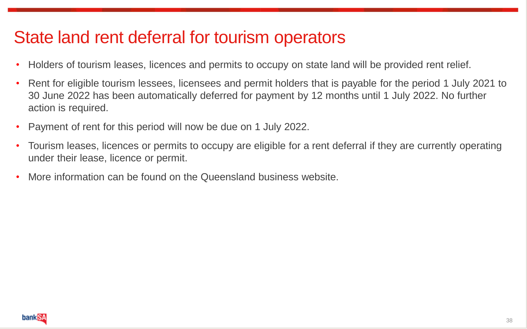### State land rent deferral for tourism operators

- Holders of tourism leases, licences and permits to occupy on state land will be provided rent relief.
- Rent for eligible tourism lessees, licensees and permit holders that is payable for the period 1 July 2021 to 30 June 2022 has been automatically deferred for payment by 12 months until 1 July 2022. No further action is required.
- Payment of rent for this period will now be due on 1 July 2022.
- Tourism leases, licences or permits to occupy are eligible for a rent deferral if they are currently operating under their lease, licence or permit.
- More information can be found on the Queensland business website.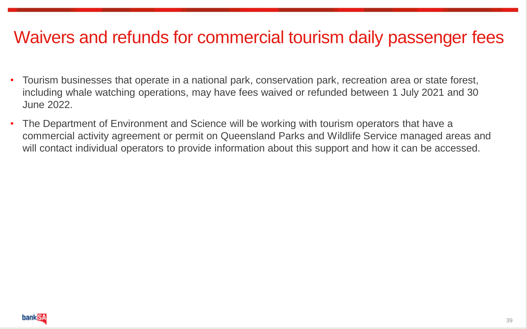#### Waivers and refunds for commercial tourism daily passenger fees

- Tourism businesses that operate in a national park, conservation park, recreation area or state forest, including whale watching operations, may have fees waived or refunded between 1 July 2021 and 30 June 2022.
- The Department of Environment and Science will be working with tourism operators that have a commercial activity agreement or permit on Queensland Parks and Wildlife Service managed areas and will contact individual operators to provide information about this support and how it can be accessed.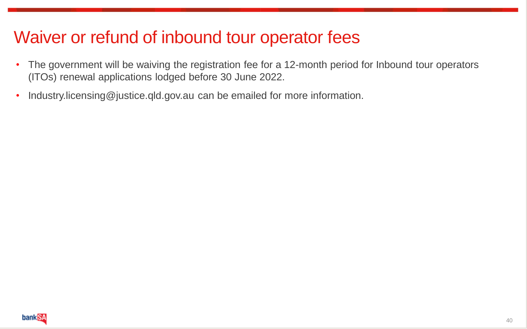### Waiver or refund of inbound tour operator fees

- The government will be waiving the registration fee for a 12-month period for Inbound tour operators (ITOs) renewal applications lodged before 30 June 2022.
- Industry.licensing@justice.qld.gov.au can be emailed for more information.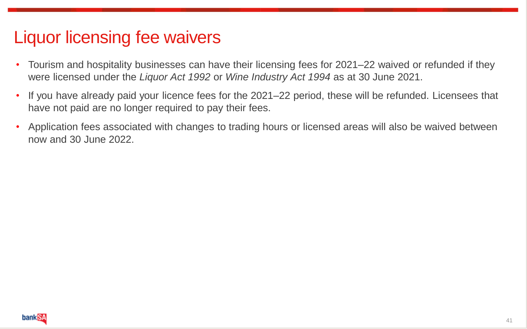#### Liquor licensing fee waivers

- Tourism and hospitality businesses can have their licensing fees for 2021–22 waived or refunded if they were licensed under the *Liquor Act 1992* or *Wine Industry Act 1994* as at 30 June 2021.
- If you have already paid your licence fees for the 2021–22 period, these will be refunded. Licensees that have not paid are no longer required to pay their fees.
- Application fees associated with changes to trading hours or licensed areas will also be waived between now and 30 June 2022.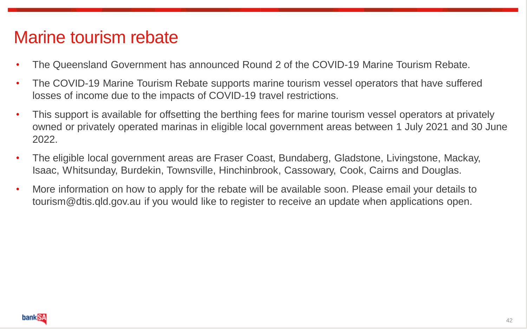### Marine tourism rebate

- The Queensland Government has announced Round 2 of the COVID-19 Marine Tourism Rebate.
- The COVID-19 Marine Tourism Rebate supports marine tourism vessel operators that have suffered losses of income due to the impacts of COVID-19 travel restrictions.
- This support is available for offsetting the berthing fees for marine tourism vessel operators at privately owned or privately operated marinas in eligible local government areas between 1 July 2021 and 30 June 2022.
- The eligible local government areas are Fraser Coast, Bundaberg, Gladstone, Livingstone, Mackay, Isaac, Whitsunday, Burdekin, Townsville, Hinchinbrook, Cassowary, Cook, Cairns and Douglas.
- More information on how to apply for the rebate will be available soon. Please email your details to tourism@dtis.qld.gov.au if you would like to register to receive an update when applications open.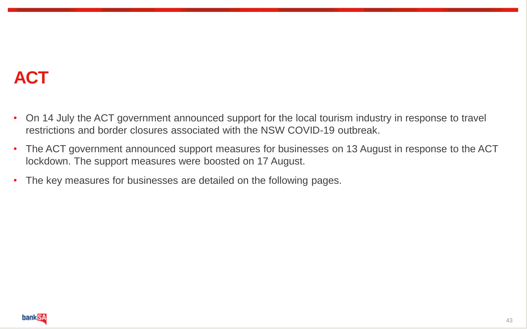# **ACT**

- On 14 July the ACT government announced support for the local tourism industry in response to travel restrictions and border closures associated with the NSW COVID-19 outbreak.
- The ACT government announced support measures for businesses on 13 August in response to the ACT lockdown. The support measures were boosted on 17 August.
- The key measures for businesses are detailed on the following pages.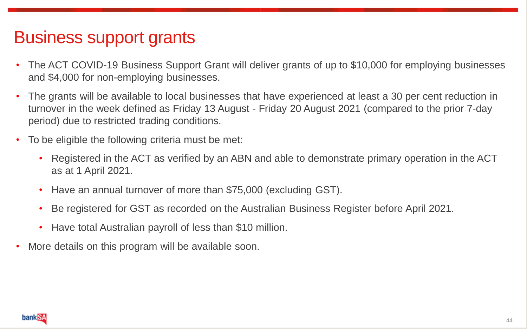### Business support grants

- The ACT COVID-19 Business Support Grant will deliver grants of up to \$10,000 for employing businesses and \$4,000 for non-employing businesses.
- The grants will be available to local businesses that have experienced at least a 30 per cent reduction in turnover in the week defined as Friday 13 August - Friday 20 August 2021 (compared to the prior 7-day period) due to restricted trading conditions.
- To be eligible the following criteria must be met:
	- Registered in the ACT as verified by an ABN and able to demonstrate primary operation in the ACT as at 1 April 2021.
	- Have an annual turnover of more than \$75,000 (excluding GST).
	- Be registered for GST as recorded on the Australian Business Register before April 2021.
	- Have total Australian payroll of less than \$10 million.
- More details on this program will be available soon.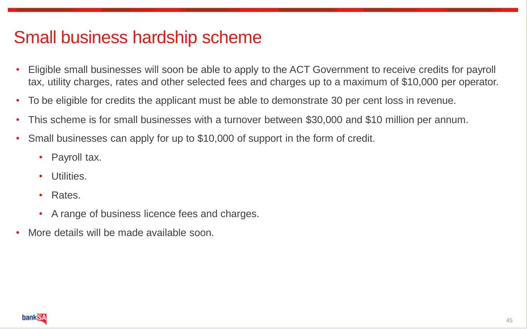### Small business hardship scheme

- Eligible small businesses will soon be able to apply to the ACT Government to receive credits for payroll tax, utility charges, rates and other selected fees and charges up to a maximum of \$10,000 per operator.
- To be eligible for credits the applicant must be able to demonstrate 30 per cent loss in revenue.
- This scheme is for small businesses with a turnover between \$30,000 and \$10 million per annum.
- Small businesses can apply for up to \$10,000 of support in the form of credit.
	- Payroll tax.
	- Utilities.
	- Rates.
	- A range of business licence fees and charges.
- More details will be made available soon.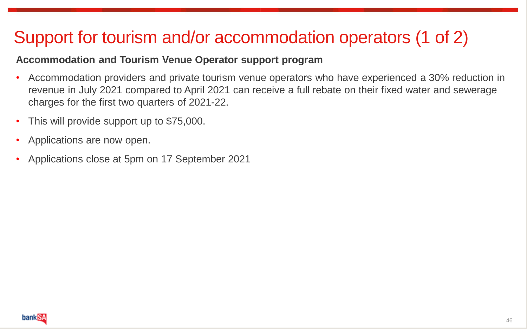# Support for tourism and/or accommodation operators (1 of 2)

#### **Accommodation and Tourism Venue Operator support program**

- Accommodation providers and private tourism venue operators who have experienced a 30% reduction in revenue in July 2021 compared to April 2021 can receive a full rebate on their fixed water and sewerage charges for the first two quarters of 2021-22.
- This will provide support up to \$75,000.
- Applications are now open.
- Applications close at 5pm on 17 September 2021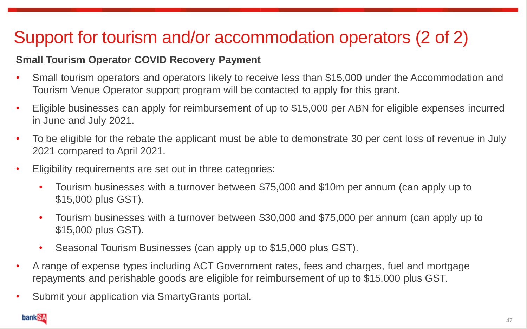# Support for tourism and/or accommodation operators (2 of 2)

#### **Small Tourism Operator COVID Recovery Payment**

- Small tourism operators and operators likely to receive less than \$15,000 under the Accommodation and Tourism Venue Operator support program will be contacted to apply for this grant.
- Eligible businesses can apply for reimbursement of up to \$15,000 per ABN for eligible expenses incurred in June and July 2021.
- To be eligible for the rebate the applicant must be able to demonstrate 30 per cent loss of revenue in July 2021 compared to April 2021.
- Eligibility requirements are set out in three categories:
	- Tourism businesses with a turnover between \$75,000 and \$10m per annum (can apply up to \$15,000 plus GST).
	- Tourism businesses with a turnover between \$30,000 and \$75,000 per annum (can apply up to \$15,000 plus GST).
	- Seasonal Tourism Businesses (can apply up to \$15,000 plus GST).
- A range of expense types including ACT Government rates, fees and charges, fuel and mortgage repayments and perishable goods are eligible for reimbursement of up to \$15,000 plus GST.
- Submit your application via SmartyGrants portal.

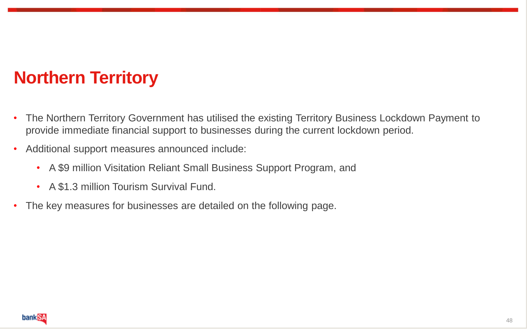# **Northern Territory**

- The Northern Territory Government has utilised the existing Territory Business Lockdown Payment to provide immediate financial support to businesses during the current lockdown period.
- Additional support measures announced include:
	- A \$9 million Visitation Reliant Small Business Support Program, and
	- A \$1.3 million Tourism Survival Fund.
- The key measures for businesses are detailed on the following page.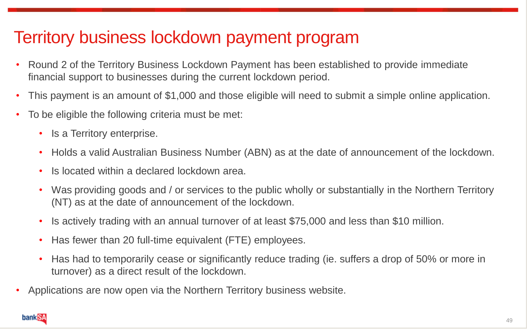# Territory business lockdown payment program

- Round 2 of the Territory Business Lockdown Payment has been established to provide immediate financial support to businesses during the current lockdown period.
- This payment is an amount of \$1,000 and those eligible will need to submit a simple online application.
- To be eligible the following criteria must be met:
	- Is a Territory enterprise.
	- Holds a valid Australian Business Number (ABN) as at the date of announcement of the lockdown.
	- Is located within a declared lockdown area.
	- Was providing goods and / or services to the public wholly or substantially in the Northern Territory (NT) as at the date of announcement of the lockdown.
	- Is actively trading with an annual turnover of at least \$75,000 and less than \$10 million.
	- Has fewer than 20 full-time equivalent (FTE) employees.
	- Has had to temporarily cease or significantly reduce trading (ie. suffers a drop of 50% or more in turnover) as a direct result of the lockdown.
- Applications are now open via the Northern Territory business website.

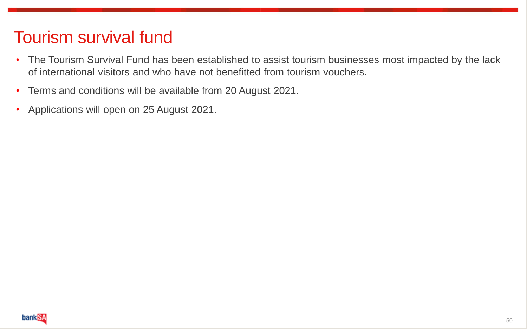# Tourism survival fund

- The Tourism Survival Fund has been established to assist tourism businesses most impacted by the lack of international visitors and who have not benefitted from tourism vouchers.
- Terms and conditions will be available from 20 August 2021.
- Applications will open on 25 August 2021.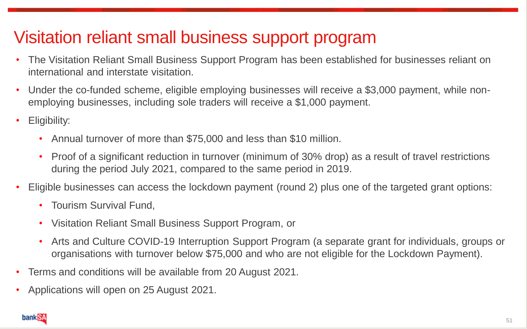# Visitation reliant small business support program

- The Visitation Reliant Small Business Support Program has been established for businesses reliant on international and interstate visitation.
- Under the co-funded scheme, eligible employing businesses will receive a \$3,000 payment, while nonemploying businesses, including sole traders will receive a \$1,000 payment.
- Eligibility:
	- Annual turnover of more than \$75,000 and less than \$10 million.
	- Proof of a significant reduction in turnover (minimum of 30% drop) as a result of travel restrictions during the period July 2021, compared to the same period in 2019.
- Eligible businesses can access the lockdown payment (round 2) plus one of the targeted grant options:
	- Tourism Survival Fund.
	- Visitation Reliant Small Business Support Program, or
	- Arts and Culture COVID-19 Interruption Support Program (a separate grant for individuals, groups or organisations with turnover below \$75,000 and who are not eligible for the Lockdown Payment).
- Terms and conditions will be available from 20 August 2021.
- Applications will open on 25 August 2021.

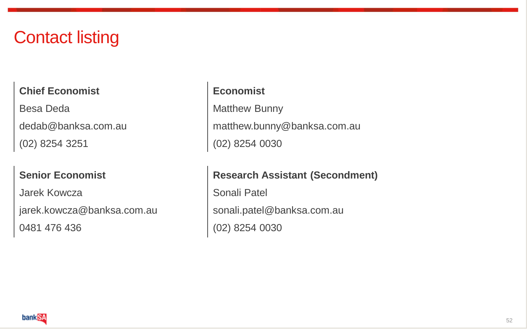#### Contact listing

#### **Chief Economist Economist**

Besa Deda Matthew Bunny (02) 8254 3251 (02) 8254 0030

Jarek Kowcza **Sonali Patel** jarek.kowcza@banksa.com.au | sonali.patel@banksa.com.au 0481 476 436 (02) 8254 0030

dedab@banksa.com.au matthew.bunny@banksa.com.au

#### Senior Economist Research Assistant (Secondment)